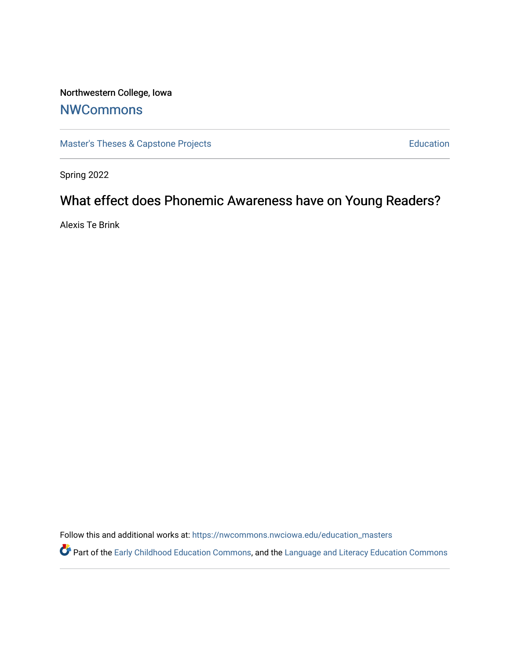# Northwestern College, Iowa

# **[NWCommons](https://nwcommons.nwciowa.edu/)**

[Master's Theses & Capstone Projects](https://nwcommons.nwciowa.edu/education_masters) **Education** Education

Spring 2022

# What effect does Phonemic Awareness have on Young Readers?

Alexis Te Brink

Follow this and additional works at: [https://nwcommons.nwciowa.edu/education\\_masters](https://nwcommons.nwciowa.edu/education_masters?utm_source=nwcommons.nwciowa.edu%2Feducation_masters%2F410&utm_medium=PDF&utm_campaign=PDFCoverPages)

Part of the [Early Childhood Education Commons,](https://network.bepress.com/hgg/discipline/1377?utm_source=nwcommons.nwciowa.edu%2Feducation_masters%2F410&utm_medium=PDF&utm_campaign=PDFCoverPages) and the Language and Literacy Education Commons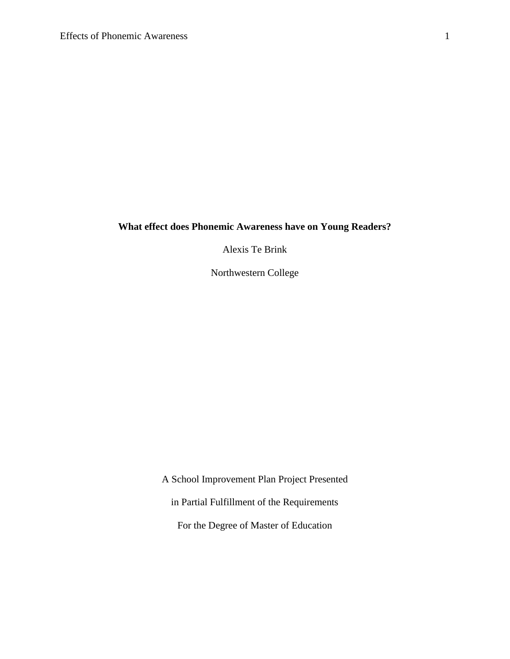# **What effect does Phonemic Awareness have on Young Readers?**

Alexis Te Brink

Northwestern College

A School Improvement Plan Project Presented in Partial Fulfillment of the Requirements For the Degree of Master of Education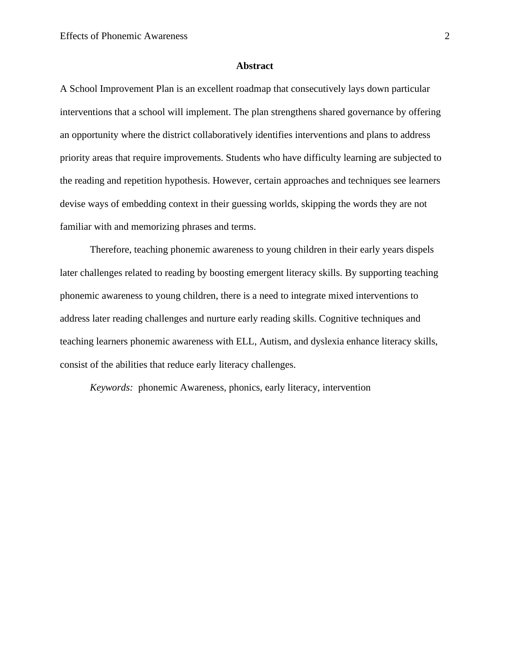#### **Abstract**

<span id="page-2-0"></span>A School Improvement Plan is an excellent roadmap that consecutively lays down particular interventions that a school will implement. The plan strengthens shared governance by offering an opportunity where the district collaboratively identifies interventions and plans to address priority areas that require improvements. Students who have difficulty learning are subjected to the reading and repetition hypothesis. However, certain approaches and techniques see learners devise ways of embedding context in their guessing worlds, skipping the words they are not familiar with and memorizing phrases and terms.

Therefore, teaching phonemic awareness to young children in their early years dispels later challenges related to reading by boosting emergent literacy skills. By supporting teaching phonemic awareness to young children, there is a need to integrate mixed interventions to address later reading challenges and nurture early reading skills. Cognitive techniques and teaching learners phonemic awareness with ELL, Autism, and dyslexia enhance literacy skills, consist of the abilities that reduce early literacy challenges.

*Keywords:* phonemic Awareness, phonics, early literacy, intervention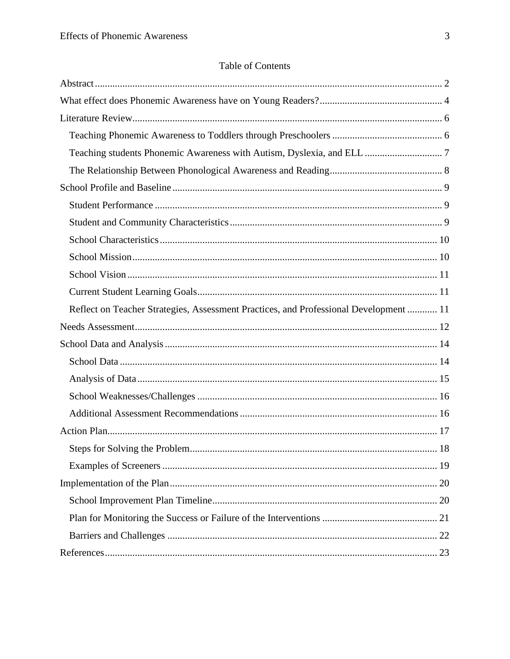# Table of Contents

| Teaching students Phonemic Awareness with Autism, Dyslexia, and ELL  7                |  |
|---------------------------------------------------------------------------------------|--|
|                                                                                       |  |
|                                                                                       |  |
|                                                                                       |  |
|                                                                                       |  |
|                                                                                       |  |
|                                                                                       |  |
|                                                                                       |  |
|                                                                                       |  |
| Reflect on Teacher Strategies, Assessment Practices, and Professional Development  11 |  |
|                                                                                       |  |
|                                                                                       |  |
|                                                                                       |  |
|                                                                                       |  |
|                                                                                       |  |
|                                                                                       |  |
|                                                                                       |  |
| 18                                                                                    |  |
|                                                                                       |  |
|                                                                                       |  |
|                                                                                       |  |
|                                                                                       |  |
|                                                                                       |  |
|                                                                                       |  |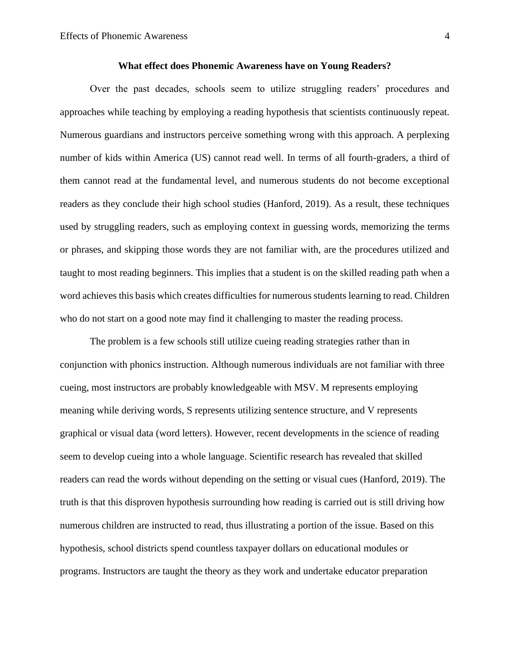# **What effect does Phonemic Awareness have on Young Readers?**

<span id="page-4-0"></span>Over the past decades, schools seem to utilize struggling readers' procedures and approaches while teaching by employing a reading hypothesis that scientists continuously repeat. Numerous guardians and instructors perceive something wrong with this approach. A perplexing number of kids within America (US) cannot read well. In terms of all fourth-graders, a third of them cannot read at the fundamental level, and numerous students do not become exceptional readers as they conclude their high school studies (Hanford, 2019). As a result, these techniques used by struggling readers, such as employing context in guessing words, memorizing the terms or phrases, and skipping those words they are not familiar with, are the procedures utilized and taught to most reading beginners. This implies that a student is on the skilled reading path when a word achieves this basis which creates difficulties for numerous students learning to read. Children who do not start on a good note may find it challenging to master the reading process.

The problem is a few schools still utilize cueing reading strategies rather than in conjunction with phonics instruction. Although numerous individuals are not familiar with three cueing, most instructors are probably knowledgeable with MSV. M represents employing meaning while deriving words, S represents utilizing sentence structure, and V represents graphical or visual data (word letters). However, recent developments in the science of reading seem to develop cueing into a whole language. Scientific research has revealed that skilled readers can read the words without depending on the setting or visual cues (Hanford, 2019). The truth is that this disproven hypothesis surrounding how reading is carried out is still driving how numerous children are instructed to read, thus illustrating a portion of the issue. Based on this hypothesis, school districts spend countless taxpayer dollars on educational modules or programs. Instructors are taught the theory as they work and undertake educator preparation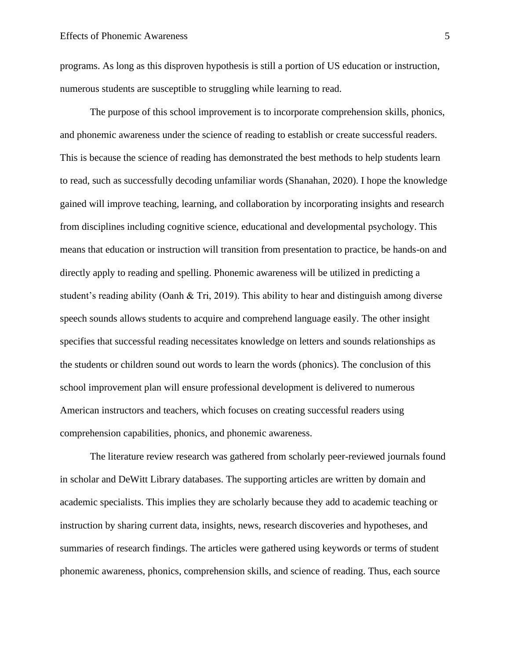programs. As long as this disproven hypothesis is still a portion of US education or instruction, numerous students are susceptible to struggling while learning to read.

The purpose of this school improvement is to incorporate comprehension skills, phonics, and phonemic awareness under the science of reading to establish or create successful readers. This is because the science of reading has demonstrated the best methods to help students learn to read, such as successfully decoding unfamiliar words (Shanahan, 2020). I hope the knowledge gained will improve teaching, learning, and collaboration by incorporating insights and research from disciplines including cognitive science, educational and developmental psychology. This means that education or instruction will transition from presentation to practice, be hands-on and directly apply to reading and spelling. Phonemic awareness will be utilized in predicting a student's reading ability (Oanh & Tri, 2019). This ability to hear and distinguish among diverse speech sounds allows students to acquire and comprehend language easily. The other insight specifies that successful reading necessitates knowledge on letters and sounds relationships as the students or children sound out words to learn the words (phonics). The conclusion of this school improvement plan will ensure professional development is delivered to numerous American instructors and teachers, which focuses on creating successful readers using comprehension capabilities, phonics, and phonemic awareness.

The literature review research was gathered from scholarly peer-reviewed journals found in scholar and DeWitt Library databases. The supporting articles are written by domain and academic specialists. This implies they are scholarly because they add to academic teaching or instruction by sharing current data, insights, news, research discoveries and hypotheses, and summaries of research findings. The articles were gathered using keywords or terms of student phonemic awareness, phonics, comprehension skills, and science of reading. Thus, each source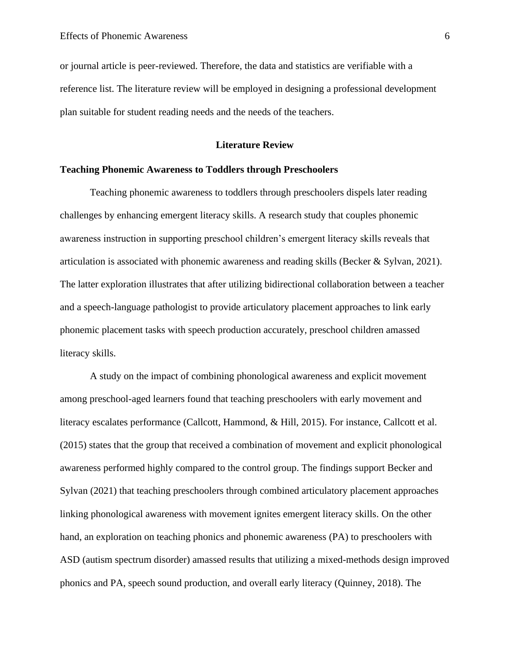or journal article is peer-reviewed. Therefore, the data and statistics are verifiable with a reference list. The literature review will be employed in designing a professional development plan suitable for student reading needs and the needs of the teachers.

# **Literature Review**

# <span id="page-6-1"></span><span id="page-6-0"></span>**Teaching Phonemic Awareness to Toddlers through Preschoolers**

Teaching phonemic awareness to toddlers through preschoolers dispels later reading challenges by enhancing emergent literacy skills. A research study that couples phonemic awareness instruction in supporting preschool children's emergent literacy skills reveals that articulation is associated with phonemic awareness and reading skills (Becker & Sylvan, 2021). The latter exploration illustrates that after utilizing bidirectional collaboration between a teacher and a speech-language pathologist to provide articulatory placement approaches to link early phonemic placement tasks with speech production accurately, preschool children amassed literacy skills.

A study on the impact of combining phonological awareness and explicit movement among preschool-aged learners found that teaching preschoolers with early movement and literacy escalates performance (Callcott, Hammond, & Hill, 2015). For instance, Callcott et al. (2015) states that the group that received a combination of movement and explicit phonological awareness performed highly compared to the control group. The findings support Becker and Sylvan (2021) that teaching preschoolers through combined articulatory placement approaches linking phonological awareness with movement ignites emergent literacy skills. On the other hand, an exploration on teaching phonics and phonemic awareness (PA) to preschoolers with ASD (autism spectrum disorder) amassed results that utilizing a mixed-methods design improved phonics and PA, speech sound production, and overall early literacy (Quinney, 2018). The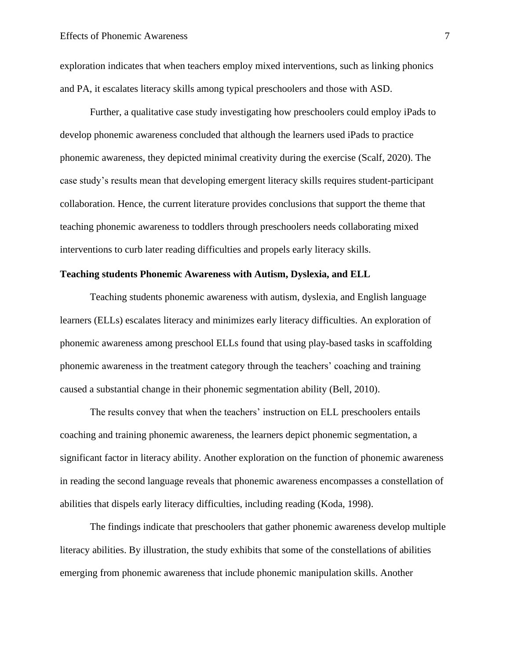exploration indicates that when teachers employ mixed interventions, such as linking phonics and PA, it escalates literacy skills among typical preschoolers and those with ASD.

Further, a qualitative case study investigating how preschoolers could employ iPads to develop phonemic awareness concluded that although the learners used iPads to practice phonemic awareness, they depicted minimal creativity during the exercise (Scalf, 2020). The case study's results mean that developing emergent literacy skills requires student-participant collaboration. Hence, the current literature provides conclusions that support the theme that teaching phonemic awareness to toddlers through preschoolers needs collaborating mixed interventions to curb later reading difficulties and propels early literacy skills.

# <span id="page-7-0"></span>**Teaching students Phonemic Awareness with Autism, Dyslexia, and ELL**

Teaching students phonemic awareness with autism, dyslexia, and English language learners (ELLs) escalates literacy and minimizes early literacy difficulties. An exploration of phonemic awareness among preschool ELLs found that using play-based tasks in scaffolding phonemic awareness in the treatment category through the teachers' coaching and training caused a substantial change in their phonemic segmentation ability (Bell, 2010).

The results convey that when the teachers' instruction on ELL preschoolers entails coaching and training phonemic awareness, the learners depict phonemic segmentation, a significant factor in literacy ability. Another exploration on the function of phonemic awareness in reading the second language reveals that phonemic awareness encompasses a constellation of abilities that dispels early literacy difficulties, including reading (Koda, 1998).

The findings indicate that preschoolers that gather phonemic awareness develop multiple literacy abilities. By illustration, the study exhibits that some of the constellations of abilities emerging from phonemic awareness that include phonemic manipulation skills. Another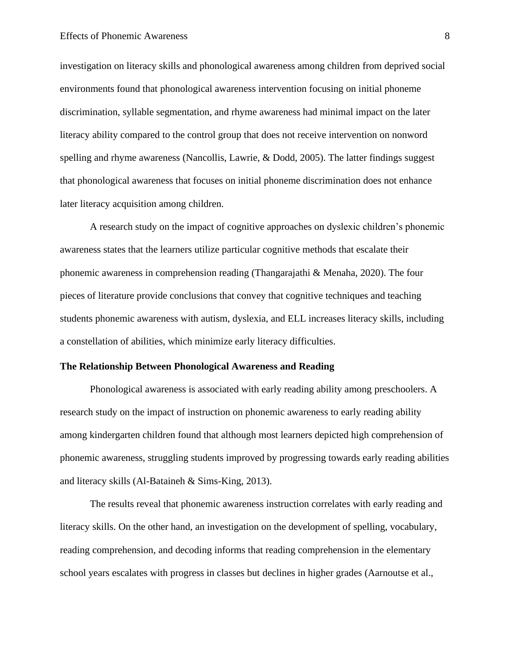#### Effects of Phonemic Awareness 8

investigation on literacy skills and phonological awareness among children from deprived social environments found that phonological awareness intervention focusing on initial phoneme discrimination, syllable segmentation, and rhyme awareness had minimal impact on the later literacy ability compared to the control group that does not receive intervention on nonword spelling and rhyme awareness (Nancollis, Lawrie, & Dodd, 2005). The latter findings suggest that phonological awareness that focuses on initial phoneme discrimination does not enhance later literacy acquisition among children.

A research study on the impact of cognitive approaches on dyslexic children's phonemic awareness states that the learners utilize particular cognitive methods that escalate their phonemic awareness in comprehension reading (Thangarajathi & Menaha, 2020). The four pieces of literature provide conclusions that convey that cognitive techniques and teaching students phonemic awareness with autism, dyslexia, and ELL increases literacy skills, including a constellation of abilities, which minimize early literacy difficulties.

# <span id="page-8-0"></span>**The Relationship Between Phonological Awareness and Reading**

Phonological awareness is associated with early reading ability among preschoolers. A research study on the impact of instruction on phonemic awareness to early reading ability among kindergarten children found that although most learners depicted high comprehension of phonemic awareness, struggling students improved by progressing towards early reading abilities and literacy skills (Al-Bataineh & Sims-King, 2013).

The results reveal that phonemic awareness instruction correlates with early reading and literacy skills. On the other hand, an investigation on the development of spelling, vocabulary, reading comprehension, and decoding informs that reading comprehension in the elementary school years escalates with progress in classes but declines in higher grades (Aarnoutse et al.,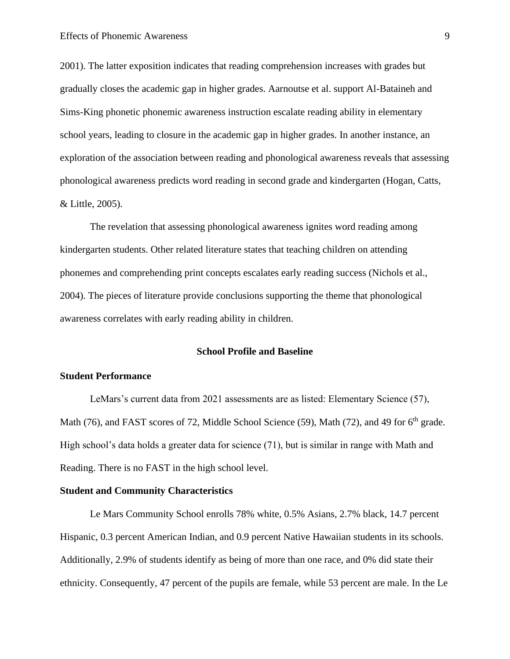2001). The latter exposition indicates that reading comprehension increases with grades but gradually closes the academic gap in higher grades. Aarnoutse et al. support Al-Bataineh and Sims-King phonetic phonemic awareness instruction escalate reading ability in elementary school years, leading to closure in the academic gap in higher grades. In another instance, an exploration of the association between reading and phonological awareness reveals that assessing phonological awareness predicts word reading in second grade and kindergarten (Hogan, Catts, & Little, 2005).

The revelation that assessing phonological awareness ignites word reading among kindergarten students. Other related literature states that teaching children on attending phonemes and comprehending print concepts escalates early reading success (Nichols et al., 2004). The pieces of literature provide conclusions supporting the theme that phonological awareness correlates with early reading ability in children.

#### **School Profile and Baseline**

# <span id="page-9-1"></span><span id="page-9-0"></span>**Student Performance**

LeMars's current data from 2021 assessments are as listed: Elementary Science (57), Math (76), and FAST scores of 72, Middle School Science (59), Math (72), and 49 for  $6<sup>th</sup>$  grade. High school's data holds a greater data for science (71), but is similar in range with Math and Reading. There is no FAST in the high school level.

# <span id="page-9-2"></span>**Student and Community Characteristics**

Le Mars Community School enrolls 78% white, 0.5% Asians, 2.7% black, 14.7 percent Hispanic, 0.3 percent American Indian, and 0.9 percent Native Hawaiian students in its schools. Additionally, 2.9% of students identify as being of more than one race, and 0% did state their ethnicity. Consequently, 47 percent of the pupils are female, while 53 percent are male. In the Le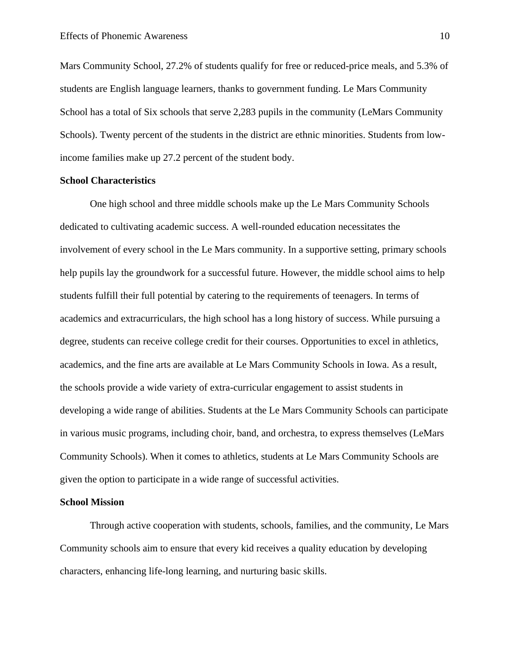Mars Community School, 27.2% of students qualify for free or reduced-price meals, and 5.3% of students are English language learners, thanks to government funding. Le Mars Community School has a total of Six schools that serve 2,283 pupils in the community (LeMars Community Schools). Twenty percent of the students in the district are ethnic minorities. Students from lowincome families make up 27.2 percent of the student body.

#### <span id="page-10-0"></span>**School Characteristics**

One high school and three middle schools make up the Le Mars Community Schools dedicated to cultivating academic success. A well-rounded education necessitates the involvement of every school in the Le Mars community. In a supportive setting, primary schools help pupils lay the groundwork for a successful future. However, the middle school aims to help students fulfill their full potential by catering to the requirements of teenagers. In terms of academics and extracurriculars, the high school has a long history of success. While pursuing a degree, students can receive college credit for their courses. Opportunities to excel in athletics, academics, and the fine arts are available at Le Mars Community Schools in Iowa. As a result, the schools provide a wide variety of extra-curricular engagement to assist students in developing a wide range of abilities. Students at the Le Mars Community Schools can participate in various music programs, including choir, band, and orchestra, to express themselves (LeMars Community Schools). When it comes to athletics, students at Le Mars Community Schools are given the option to participate in a wide range of successful activities.

#### <span id="page-10-1"></span>**School Mission**

Through active cooperation with students, schools, families, and the community, Le Mars Community schools aim to ensure that every kid receives a quality education by developing characters, enhancing life-long learning, and nurturing basic skills.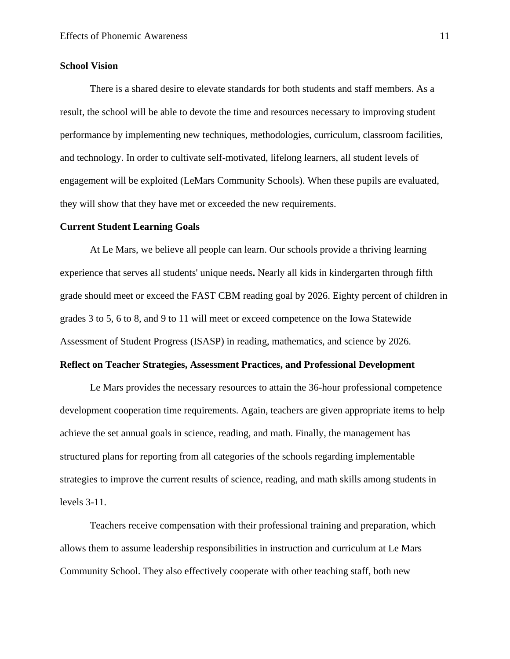## <span id="page-11-0"></span>**School Vision**

There is a shared desire to elevate standards for both students and staff members. As a result, the school will be able to devote the time and resources necessary to improving student performance by implementing new techniques, methodologies, curriculum, classroom facilities, and technology. In order to cultivate self-motivated, lifelong learners, all student levels of engagement will be exploited (LeMars Community Schools). When these pupils are evaluated, they will show that they have met or exceeded the new requirements.

#### <span id="page-11-1"></span>**Current Student Learning Goals**

At Le Mars, we believe all people can learn. Our schools provide a thriving learning experience that serves all students' unique needs**.** Nearly all kids in kindergarten through fifth grade should meet or exceed the FAST CBM reading goal by 2026. Eighty percent of children in grades 3 to 5, 6 to 8, and 9 to 11 will meet or exceed competence on the Iowa Statewide Assessment of Student Progress (ISASP) in reading, mathematics, and science by 2026.

# <span id="page-11-2"></span>**Reflect on Teacher Strategies, Assessment Practices, and Professional Development**

Le Mars provides the necessary resources to attain the 36-hour professional competence development cooperation time requirements. Again, teachers are given appropriate items to help achieve the set annual goals in science, reading, and math. Finally, the management has structured plans for reporting from all categories of the schools regarding implementable strategies to improve the current results of science, reading, and math skills among students in levels 3-11.

Teachers receive compensation with their professional training and preparation, which allows them to assume leadership responsibilities in instruction and curriculum at Le Mars Community School. They also effectively cooperate with other teaching staff, both new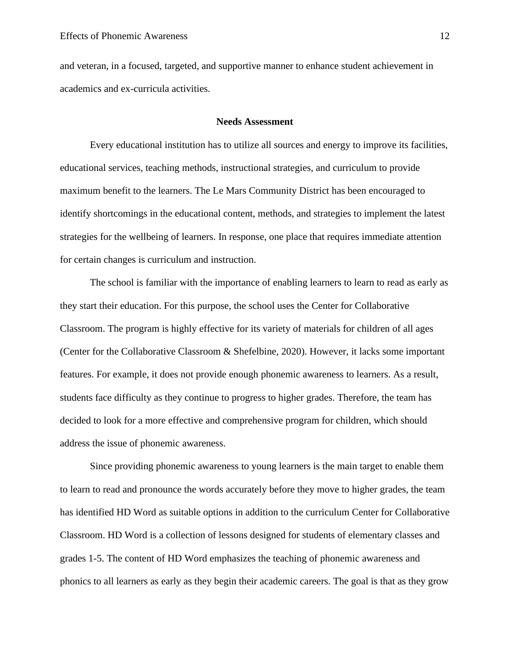and veteran, in a focused, targeted, and supportive manner to enhance student achievement in academics and ex-curricula activities.

#### **Needs Assessment**

<span id="page-12-0"></span>Every educational institution has to utilize all sources and energy to improve its facilities, educational services, teaching methods, instructional strategies, and curriculum to provide maximum benefit to the learners. The Le Mars Community District has been encouraged to identify shortcomings in the educational content, methods, and strategies to implement the latest strategies for the wellbeing of learners. In response, one place that requires immediate attention for certain changes is curriculum and instruction.

The school is familiar with the importance of enabling learners to learn to read as early as they start their education. For this purpose, the school uses the Center for Collaborative Classroom. The program is highly effective for its variety of materials for children of all ages (Center for the Collaborative Classroom & Shefelbine, 2020). However, it lacks some important features. For example, it does not provide enough phonemic awareness to learners. As a result, students face difficulty as they continue to progress to higher grades. Therefore, the team has decided to look for a more effective and comprehensive program for children, which should address the issue of phonemic awareness.

Since providing phonemic awareness to young learners is the main target to enable them to learn to read and pronounce the words accurately before they move to higher grades, the team has identified HD Word as suitable options in addition to the curriculum Center for Collaborative Classroom. HD Word is a collection of lessons designed for students of elementary classes and grades 1-5. The content of HD Word emphasizes the teaching of phonemic awareness and phonics to all learners as early as they begin their academic careers. The goal is that as they grow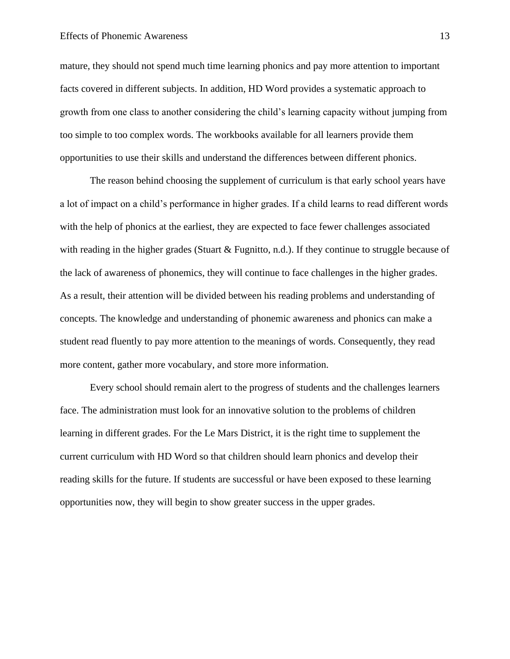#### Effects of Phonemic Awareness 13

mature, they should not spend much time learning phonics and pay more attention to important facts covered in different subjects. In addition, HD Word provides a systematic approach to growth from one class to another considering the child's learning capacity without jumping from too simple to too complex words. The workbooks available for all learners provide them opportunities to use their skills and understand the differences between different phonics.

The reason behind choosing the supplement of curriculum is that early school years have a lot of impact on a child's performance in higher grades. If a child learns to read different words with the help of phonics at the earliest, they are expected to face fewer challenges associated with reading in the higher grades (Stuart & Fugnitto, n.d.). If they continue to struggle because of the lack of awareness of phonemics, they will continue to face challenges in the higher grades. As a result, their attention will be divided between his reading problems and understanding of concepts. The knowledge and understanding of phonemic awareness and phonics can make a student read fluently to pay more attention to the meanings of words. Consequently, they read more content, gather more vocabulary, and store more information.

Every school should remain alert to the progress of students and the challenges learners face. The administration must look for an innovative solution to the problems of children learning in different grades. For the Le Mars District, it is the right time to supplement the current curriculum with HD Word so that children should learn phonics and develop their reading skills for the future. If students are successful or have been exposed to these learning opportunities now, they will begin to show greater success in the upper grades.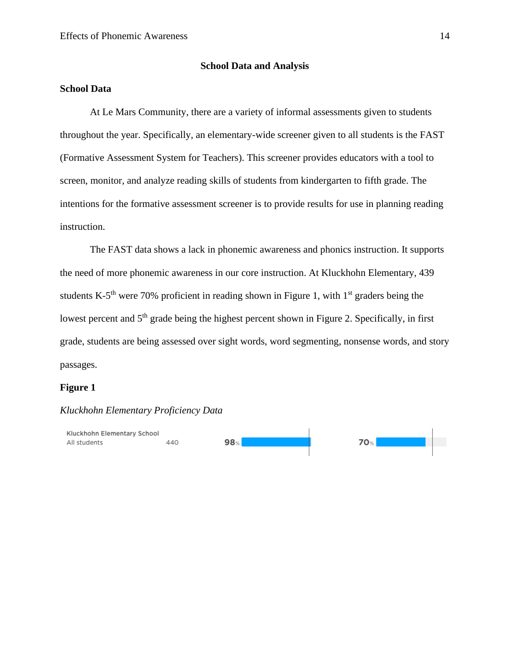#### **School Data and Analysis**

# <span id="page-14-1"></span><span id="page-14-0"></span>**School Data**

At Le Mars Community, there are a variety of informal assessments given to students throughout the year. Specifically, an elementary-wide screener given to all students is the FAST (Formative Assessment System for Teachers). This screener provides educators with a tool to screen, monitor, and analyze reading skills of students from kindergarten to fifth grade. The intentions for the formative assessment screener is to provide results for use in planning reading instruction.

The FAST data shows a lack in phonemic awareness and phonics instruction. It supports the need of more phonemic awareness in our core instruction. At Kluckhohn Elementary, 439 students K-5<sup>th</sup> were 70% proficient in reading shown in Figure 1, with  $1<sup>st</sup>$  graders being the lowest percent and 5<sup>th</sup> grade being the highest percent shown in Figure 2. Specifically, in first grade, students are being assessed over sight words, word segmenting, nonsense words, and story passages.

# **Figure 1**

# *Kluckhohn Elementary Proficiency Data*

440

Kluckhohn Elementary School All students

 $98<sub>%</sub>$ 

**70%**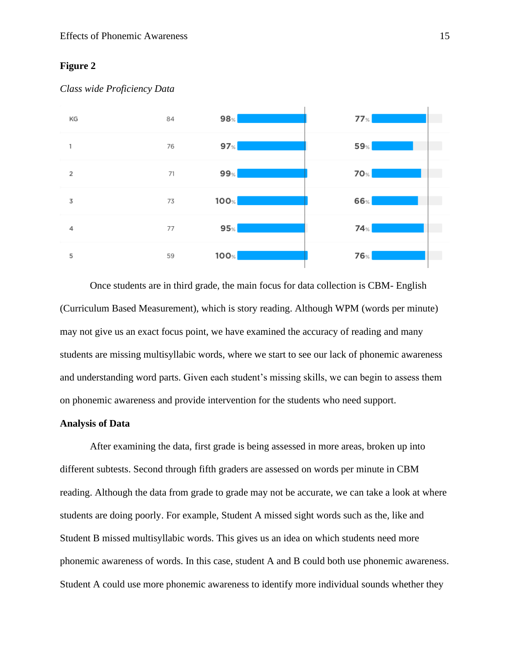# **Figure 2**



#### *Class wide Proficiency Data*

Once students are in third grade, the main focus for data collection is CBM- English (Curriculum Based Measurement), which is story reading. Although WPM (words per minute) may not give us an exact focus point, we have examined the accuracy of reading and many students are missing multisyllabic words, where we start to see our lack of phonemic awareness and understanding word parts. Given each student's missing skills, we can begin to assess them on phonemic awareness and provide intervention for the students who need support.

# <span id="page-15-0"></span>**Analysis of Data**

After examining the data, first grade is being assessed in more areas, broken up into different subtests. Second through fifth graders are assessed on words per minute in CBM reading. Although the data from grade to grade may not be accurate, we can take a look at where students are doing poorly. For example, Student A missed sight words such as the, like and Student B missed multisyllabic words. This gives us an idea on which students need more phonemic awareness of words. In this case, student A and B could both use phonemic awareness. Student A could use more phonemic awareness to identify more individual sounds whether they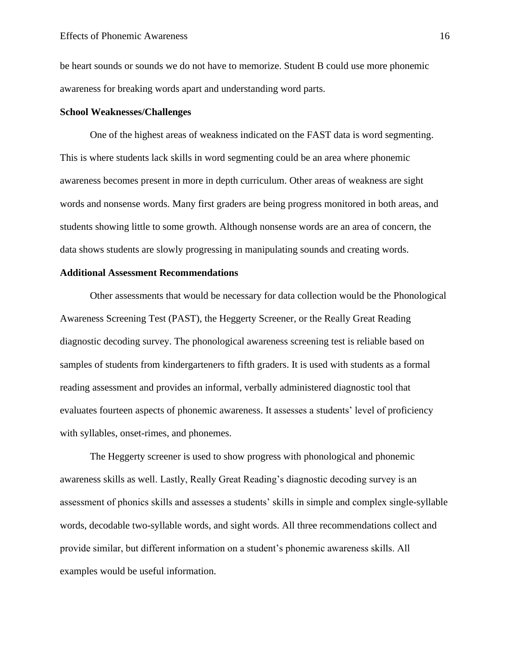be heart sounds or sounds we do not have to memorize. Student B could use more phonemic awareness for breaking words apart and understanding word parts.

## <span id="page-16-0"></span>**School Weaknesses/Challenges**

One of the highest areas of weakness indicated on the FAST data is word segmenting. This is where students lack skills in word segmenting could be an area where phonemic awareness becomes present in more in depth curriculum. Other areas of weakness are sight words and nonsense words. Many first graders are being progress monitored in both areas, and students showing little to some growth. Although nonsense words are an area of concern, the data shows students are slowly progressing in manipulating sounds and creating words.

# <span id="page-16-1"></span>**Additional Assessment Recommendations**

Other assessments that would be necessary for data collection would be the Phonological Awareness Screening Test (PAST), the Heggerty Screener, or the Really Great Reading diagnostic decoding survey. The phonological awareness screening test is reliable based on samples of students from kindergarteners to fifth graders. It is used with students as a formal reading assessment and provides an informal, verbally administered diagnostic tool that evaluates fourteen aspects of phonemic awareness. It assesses a students' level of proficiency with syllables, onset-rimes, and phonemes.

The Heggerty screener is used to show progress with phonological and phonemic awareness skills as well. Lastly, Really Great Reading's diagnostic decoding survey is an assessment of phonics skills and assesses a students' skills in simple and complex single-syllable words, decodable two-syllable words, and sight words. All three recommendations collect and provide similar, but different information on a student's phonemic awareness skills. All examples would be useful information.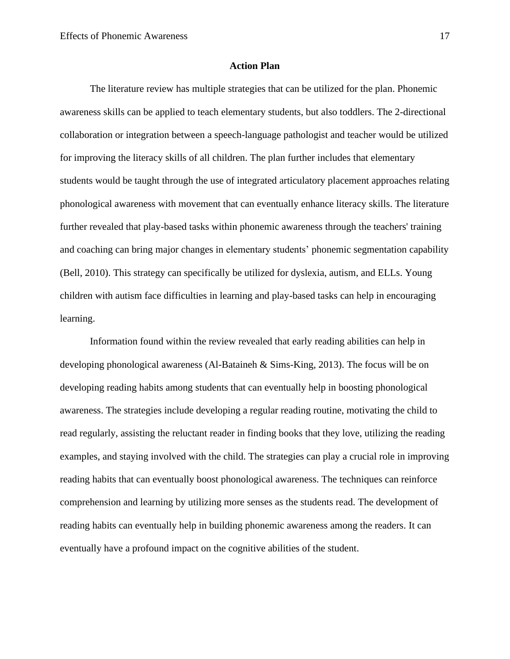#### **Action Plan**

<span id="page-17-0"></span>The literature review has multiple strategies that can be utilized for the plan. Phonemic awareness skills can be applied to teach elementary students, but also toddlers. The 2-directional collaboration or integration between a speech-language pathologist and teacher would be utilized for improving the literacy skills of all children. The plan further includes that elementary students would be taught through the use of integrated articulatory placement approaches relating phonological awareness with movement that can eventually enhance literacy skills. The literature further revealed that play-based tasks within phonemic awareness through the teachers' training and coaching can bring major changes in elementary students' phonemic segmentation capability (Bell, 2010). This strategy can specifically be utilized for dyslexia, autism, and ELLs. Young children with autism face difficulties in learning and play-based tasks can help in encouraging learning.

Information found within the review revealed that early reading abilities can help in developing phonological awareness (Al-Bataineh  $\&$  Sims-King, 2013). The focus will be on developing reading habits among students that can eventually help in boosting phonological awareness. The strategies include developing a regular reading routine, motivating the child to read regularly, assisting the reluctant reader in finding books that they love, utilizing the reading examples, and staying involved with the child. The strategies can play a crucial role in improving reading habits that can eventually boost phonological awareness. The techniques can reinforce comprehension and learning by utilizing more senses as the students read. The development of reading habits can eventually help in building phonemic awareness among the readers. It can eventually have a profound impact on the cognitive abilities of the student.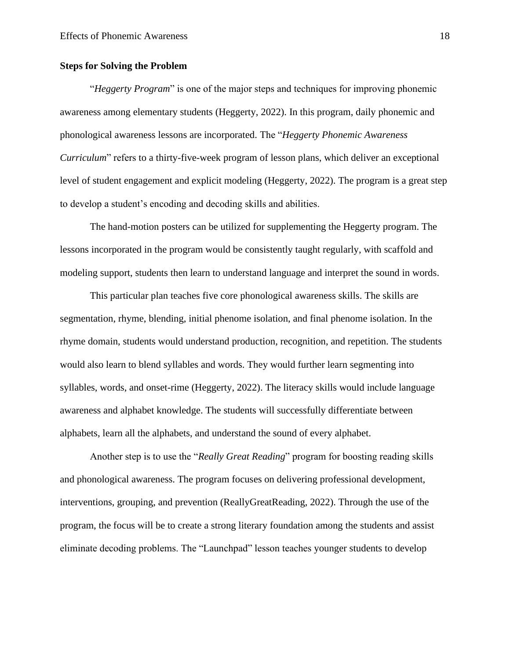## <span id="page-18-0"></span>**Steps for Solving the Problem**

"*Heggerty Program*" is one of the major steps and techniques for improving phonemic awareness among elementary students (Heggerty, 2022). In this program, daily phonemic and phonological awareness lessons are incorporated. The "*Heggerty Phonemic Awareness Curriculum*" refers to a thirty-five-week program of lesson plans, which deliver an exceptional level of student engagement and explicit modeling (Heggerty, 2022). The program is a great step to develop a student's encoding and decoding skills and abilities.

The hand-motion posters can be utilized for supplementing the Heggerty program. The lessons incorporated in the program would be consistently taught regularly, with scaffold and modeling support, students then learn to understand language and interpret the sound in words.

This particular plan teaches five core phonological awareness skills. The skills are segmentation, rhyme, blending, initial phenome isolation, and final phenome isolation. In the rhyme domain, students would understand production, recognition, and repetition. The students would also learn to blend syllables and words. They would further learn segmenting into syllables, words, and onset-rime (Heggerty, 2022). The literacy skills would include language awareness and alphabet knowledge. The students will successfully differentiate between alphabets, learn all the alphabets, and understand the sound of every alphabet.

Another step is to use the "*Really Great Reading*" program for boosting reading skills and phonological awareness. The program focuses on delivering professional development, interventions, grouping, and prevention (ReallyGreatReading, 2022). Through the use of the program, the focus will be to create a strong literary foundation among the students and assist eliminate decoding problems. The "Launchpad" lesson teaches younger students to develop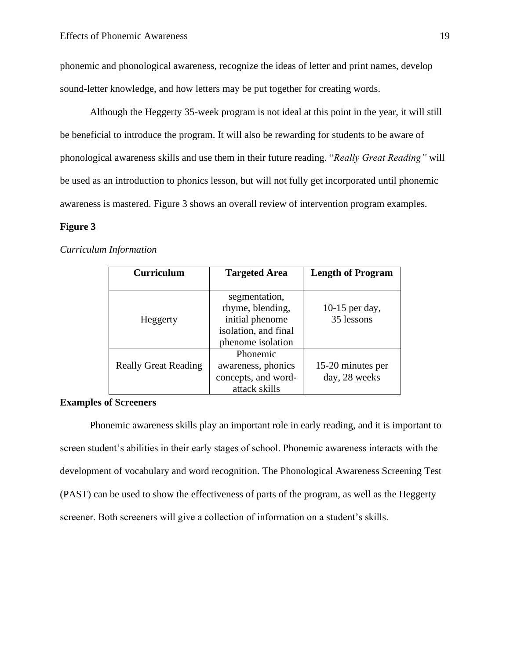phonemic and phonological awareness, recognize the ideas of letter and print names, develop sound-letter knowledge, and how letters may be put together for creating words.

Although the Heggerty 35-week program is not ideal at this point in the year, it will still be beneficial to introduce the program. It will also be rewarding for students to be aware of phonological awareness skills and use them in their future reading. "*Really Great Reading"* will be used as an introduction to phonics lesson, but will not fully get incorporated until phonemic awareness is mastered. Figure 3 shows an overall review of intervention program examples.

#### **Figure 3**

#### *Curriculum Information*

| <b>Curriculum</b>           | <b>Targeted Area</b> | <b>Length of Program</b> |
|-----------------------------|----------------------|--------------------------|
|                             |                      |                          |
|                             | segmentation,        |                          |
|                             | rhyme, blending,     | 10-15 per day,           |
| Heggerty                    | initial phenome      | 35 lessons               |
|                             | isolation, and final |                          |
|                             | phenome isolation    |                          |
|                             | Phonemic             |                          |
| <b>Really Great Reading</b> | awareness, phonics   | 15-20 minutes per        |
|                             | concepts, and word-  | day, 28 weeks            |
|                             | attack skills        |                          |

## <span id="page-19-0"></span>**Examples of Screeners**

Phonemic awareness skills play an important role in early reading, and it is important to screen student's abilities in their early stages of school. Phonemic awareness interacts with the development of vocabulary and word recognition. The Phonological Awareness Screening Test (PAST) can be used to show the effectiveness of parts of the program, as well as the Heggerty screener. Both screeners will give a collection of information on a student's skills.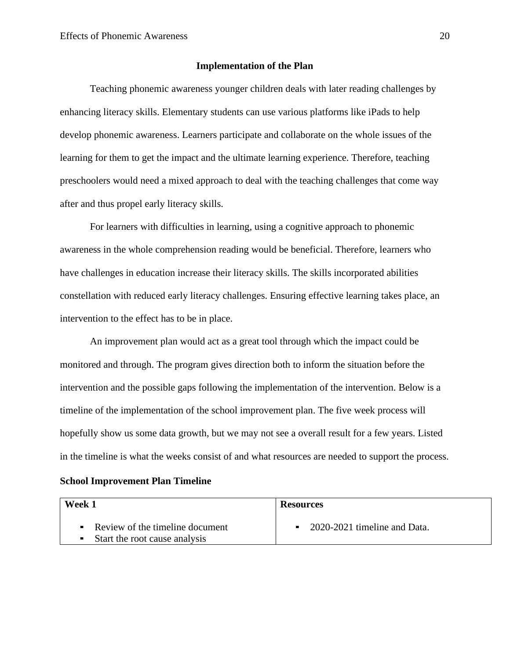# **Implementation of the Plan**

<span id="page-20-0"></span>Teaching phonemic awareness younger children deals with later reading challenges by enhancing literacy skills. Elementary students can use various platforms like iPads to help develop phonemic awareness. Learners participate and collaborate on the whole issues of the learning for them to get the impact and the ultimate learning experience. Therefore, teaching preschoolers would need a mixed approach to deal with the teaching challenges that come way after and thus propel early literacy skills.

For learners with difficulties in learning, using a cognitive approach to phonemic awareness in the whole comprehension reading would be beneficial. Therefore, learners who have challenges in education increase their literacy skills. The skills incorporated abilities constellation with reduced early literacy challenges. Ensuring effective learning takes place, an intervention to the effect has to be in place.

An improvement plan would act as a great tool through which the impact could be monitored and through. The program gives direction both to inform the situation before the intervention and the possible gaps following the implementation of the intervention. Below is a timeline of the implementation of the school improvement plan. The five week process will hopefully show us some data growth, but we may not see a overall result for a few years. Listed in the timeline is what the weeks consist of and what resources are needed to support the process.

# <span id="page-20-1"></span>**School Improvement Plan Timeline**

| Week 1                                                               | <b>Resources</b>             |
|----------------------------------------------------------------------|------------------------------|
| • Review of the timeline document<br>• Start the root cause analysis | 2020-2021 timeline and Data. |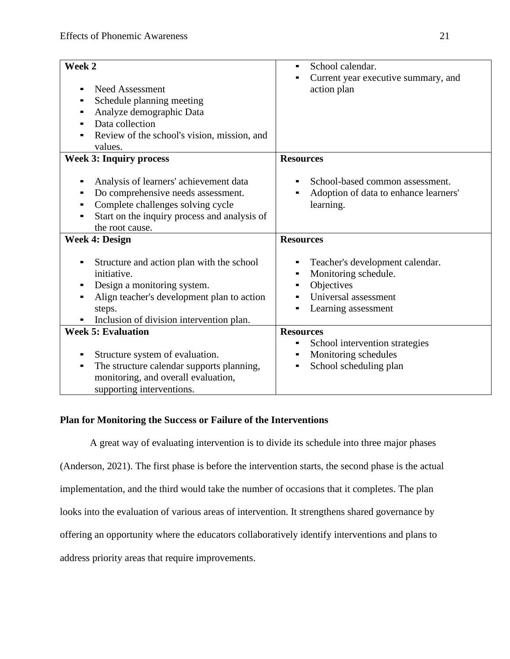| Week 2<br><b>Need Assessment</b><br>Schedule planning meeting<br>Analyze demographic Data<br>Data collection<br>Review of the school's vision, mission, and<br>values.                      | School calendar.<br>Current year executive summary, and<br>action plan                                               |
|---------------------------------------------------------------------------------------------------------------------------------------------------------------------------------------------|----------------------------------------------------------------------------------------------------------------------|
| <b>Week 3: Inquiry process</b>                                                                                                                                                              | <b>Resources</b>                                                                                                     |
| Analysis of learners' achievement data<br>Do comprehensive needs assessment.<br>Complete challenges solving cycle<br>Start on the inquiry process and analysis of<br>the root cause.        | School-based common assessment.<br>Adoption of data to enhance learners'<br>learning.                                |
| <b>Week 4: Design</b>                                                                                                                                                                       | <b>Resources</b>                                                                                                     |
| Structure and action plan with the school<br>initiative.<br>Design a monitoring system.<br>Align teacher's development plan to action<br>steps.<br>Inclusion of division intervention plan. | Teacher's development calendar.<br>Monitoring schedule.<br>Objectives<br>Universal assessment<br>Learning assessment |
| <b>Week 5: Evaluation</b>                                                                                                                                                                   | <b>Resources</b>                                                                                                     |
| Structure system of evaluation.<br>The structure calendar supports planning,<br>٠<br>monitoring, and overall evaluation,<br>supporting interventions.                                       | School intervention strategies<br>٠<br>Monitoring schedules<br>٠<br>School scheduling plan                           |

# <span id="page-21-0"></span>**Plan for Monitoring the Success or Failure of the Interventions**

A great way of evaluating intervention is to divide its schedule into three major phases (Anderson, 2021). The first phase is before the intervention starts, the second phase is the actual implementation, and the third would take the number of occasions that it completes. The plan looks into the evaluation of various areas of intervention. It strengthens shared governance by offering an opportunity where the educators collaboratively identify interventions and plans to address priority areas that require improvements.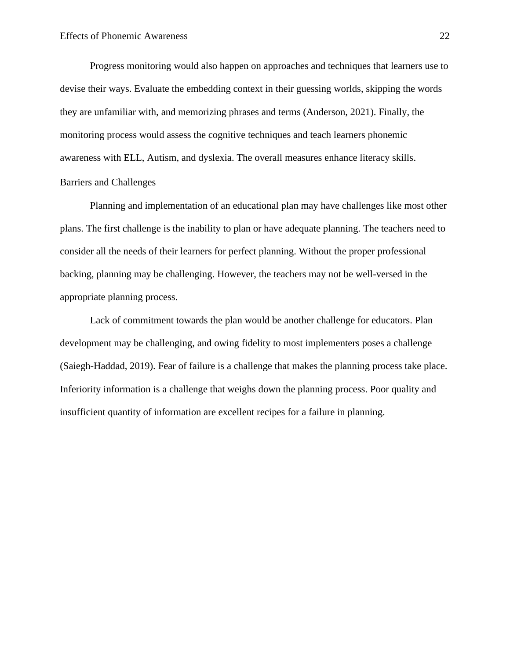Progress monitoring would also happen on approaches and techniques that learners use to devise their ways. Evaluate the embedding context in their guessing worlds, skipping the words they are unfamiliar with, and memorizing phrases and terms (Anderson, 2021). Finally, the monitoring process would assess the cognitive techniques and teach learners phonemic awareness with ELL, Autism, and dyslexia. The overall measures enhance literacy skills. Barriers and Challenges

<span id="page-22-0"></span>Planning and implementation of an educational plan may have challenges like most other plans. The first challenge is the inability to plan or have adequate planning. The teachers need to consider all the needs of their learners for perfect planning. Without the proper professional backing, planning may be challenging. However, the teachers may not be well-versed in the appropriate planning process.

Lack of commitment towards the plan would be another challenge for educators. Plan development may be challenging, and owing fidelity to most implementers poses a challenge (Saiegh-Haddad, 2019). Fear of failure is a challenge that makes the planning process take place. Inferiority information is a challenge that weighs down the planning process. Poor quality and insufficient quantity of information are excellent recipes for a failure in planning.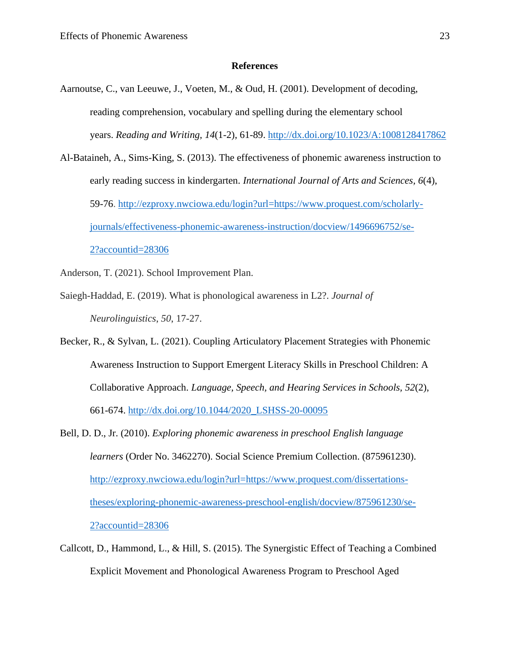#### **References**

- <span id="page-23-0"></span>Aarnoutse, C., van Leeuwe, J., Voeten, M., & Oud, H. (2001). Development of decoding, reading comprehension, vocabulary and spelling during the elementary school years. *Reading and Writing, 14*(1-2), 61-89.<http://dx.doi.org/10.1023/A:1008128417862>
- Al-Bataineh, A., Sims-King, S. (2013). The effectiveness of phonemic awareness instruction to early reading success in kindergarten. *International Journal of Arts and Sciences, 6*(4), 59-76. [http://ezproxy.nwciowa.edu/login?url=https://www.proquest.com/scholarly](http://ezproxy.nwciowa.edu/login?url=https://www.proquest.com/scholarly-journals/effectiveness-phonemic-awareness-instruction/docview/1496696752/se-2?accountid=28306)[journals/effectiveness-phonemic-awareness-instruction/docview/1496696752/se-](http://ezproxy.nwciowa.edu/login?url=https://www.proquest.com/scholarly-journals/effectiveness-phonemic-awareness-instruction/docview/1496696752/se-2?accountid=28306)[2?accountid=28306](http://ezproxy.nwciowa.edu/login?url=https://www.proquest.com/scholarly-journals/effectiveness-phonemic-awareness-instruction/docview/1496696752/se-2?accountid=28306)
- Anderson, T. (2021). School Improvement Plan.
- Saiegh-Haddad, E. (2019). What is phonological awareness in L2?. *Journal of Neurolinguistics*, *50*, 17-27.
- Becker, R., & Sylvan, L. (2021). Coupling Articulatory Placement Strategies with Phonemic Awareness Instruction to Support Emergent Literacy Skills in Preschool Children: A Collaborative Approach. *Language, Speech, and Hearing Services in Schools, 52*(2), 661-674. [http://dx.doi.org/10.1044/2020\\_LSHSS-20-00095](http://dx.doi.org/10.1044/2020_LSHSS-20-00095)
- Bell, D. D., Jr. (2010). *Exploring phonemic awareness in preschool English language learners* (Order No. 3462270). Social Science Premium Collection. (875961230). [http://ezproxy.nwciowa.edu/login?url=https://www.proquest.com/dissertations](http://ezproxy.nwciowa.edu/login?url=https://www.proquest.com/dissertations-theses/exploring-phonemic-awareness-preschool-english/docview/875961230/se-2?accountid=28306)[theses/exploring-phonemic-awareness-preschool-english/docview/875961230/se-](http://ezproxy.nwciowa.edu/login?url=https://www.proquest.com/dissertations-theses/exploring-phonemic-awareness-preschool-english/docview/875961230/se-2?accountid=28306)[2?accountid=28306](http://ezproxy.nwciowa.edu/login?url=https://www.proquest.com/dissertations-theses/exploring-phonemic-awareness-preschool-english/docview/875961230/se-2?accountid=28306)
- Callcott, D., Hammond, L., & Hill, S. (2015). The Synergistic Effect of Teaching a Combined Explicit Movement and Phonological Awareness Program to Preschool Aged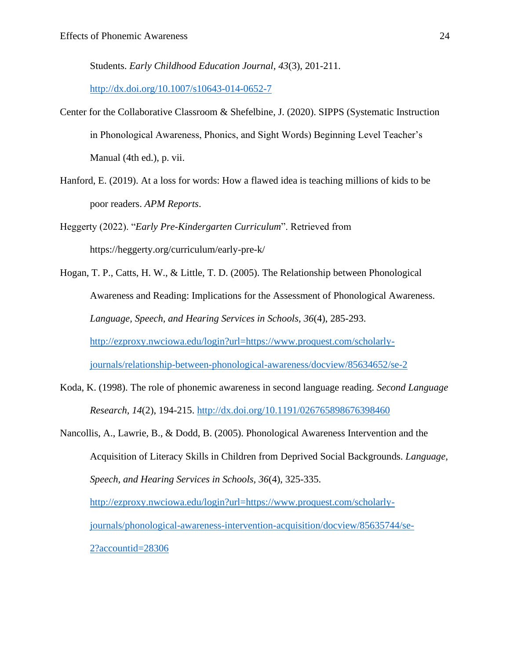Students. *Early Childhood Education Journal, 43*(3), 201-211.

<http://dx.doi.org/10.1007/s10643-014-0652-7>

- Center for the Collaborative Classroom & Shefelbine, J. (2020). SIPPS (Systematic Instruction in Phonological Awareness, Phonics, and Sight Words) Beginning Level Teacher's Manual (4th ed.), p. vii.
- Hanford, E. (2019). At a loss for words: How a flawed idea is teaching millions of kids to be poor readers. *APM Reports*.
- Heggerty (2022). "*Early Pre-Kindergarten Curriculum*". Retrieved from https://heggerty.org/curriculum/early-pre-k/
- Hogan, T. P., Catts, H. W., & Little, T. D. (2005). The Relationship between Phonological Awareness and Reading: Implications for the Assessment of Phonological Awareness. *Language, Speech, and Hearing Services in Schools, 36*(4), 285-293. [http://ezproxy.nwciowa.edu/login?url=https://www.proquest.com/scholarly](http://ezproxy.nwciowa.edu/login?url=https://www.proquest.com/scholarly-journals/relationship-between-phonological-awareness/docview/85634652/se-2)[journals/relationship-between-phonological-awareness/docview/85634652/se-2](http://ezproxy.nwciowa.edu/login?url=https://www.proquest.com/scholarly-journals/relationship-between-phonological-awareness/docview/85634652/se-2)
- Koda, K. (1998). The role of phonemic awareness in second language reading. *Second Language Research, 14*(2), 194-215. <http://dx.doi.org/10.1191/026765898676398460>
- Nancollis, A., Lawrie, B., & Dodd, B. (2005). Phonological Awareness Intervention and the Acquisition of Literacy Skills in Children from Deprived Social Backgrounds. *Language, Speech, and Hearing Services in Schools, 36*(4), 325-335. [http://ezproxy.nwciowa.edu/login?url=https://www.proquest.com/scholarly](http://ezproxy.nwciowa.edu/login?url=https://www.proquest.com/scholarly-journals/phonological-awareness-intervention-acquisition/docview/85635744/se-2?accountid=28306)[journals/phonological-awareness-intervention-acquisition/docview/85635744/se-](http://ezproxy.nwciowa.edu/login?url=https://www.proquest.com/scholarly-journals/phonological-awareness-intervention-acquisition/docview/85635744/se-2?accountid=28306)[2?accountid=28306](http://ezproxy.nwciowa.edu/login?url=https://www.proquest.com/scholarly-journals/phonological-awareness-intervention-acquisition/docview/85635744/se-2?accountid=28306)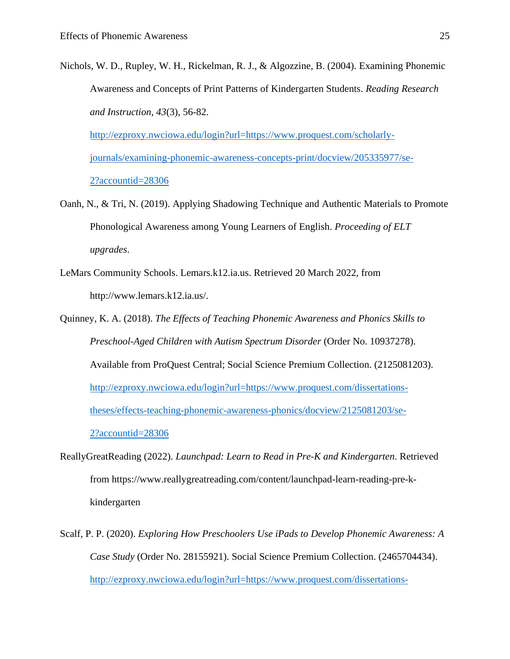Nichols, W. D., Rupley, W. H., Rickelman, R. J., & Algozzine, B. (2004). Examining Phonemic Awareness and Concepts of Print Patterns of Kindergarten Students. *Reading Research and Instruction, 43*(3), 56-82. [http://ezproxy.nwciowa.edu/login?url=https://www.proquest.com/scholarly](http://ezproxy.nwciowa.edu/login?url=https://www.proquest.com/scholarly-journals/examining-phonemic-awareness-concepts-print/docview/205335977/se-2?accountid=28306)[journals/examining-phonemic-awareness-concepts-print/docview/205335977/se-](http://ezproxy.nwciowa.edu/login?url=https://www.proquest.com/scholarly-journals/examining-phonemic-awareness-concepts-print/docview/205335977/se-2?accountid=28306)

[2?accountid=28306](http://ezproxy.nwciowa.edu/login?url=https://www.proquest.com/scholarly-journals/examining-phonemic-awareness-concepts-print/docview/205335977/se-2?accountid=28306)

- Oanh, N., & Tri, N. (2019). Applying Shadowing Technique and Authentic Materials to Promote Phonological Awareness among Young Learners of English. *Proceeding of ELT upgrades*.
- LeMars Community Schools. Lemars.k12.ia.us. Retrieved 20 March 2022, from http://www.lemars.k12.ia.us/.
- Quinney, K. A. (2018). *The Effects of Teaching Phonemic Awareness and Phonics Skills to Preschool-Aged Children with Autism Spectrum Disorder* (Order No. 10937278). Available from ProQuest Central; Social Science Premium Collection. (2125081203). [http://ezproxy.nwciowa.edu/login?url=https://www.proquest.com/dissertations](http://ezproxy.nwciowa.edu/login?url=https://www.proquest.com/dissertations-theses/effects-teaching-phonemic-awareness-phonics/docview/2125081203/se-2?accountid=28306)[theses/effects-teaching-phonemic-awareness-phonics/docview/2125081203/se-](http://ezproxy.nwciowa.edu/login?url=https://www.proquest.com/dissertations-theses/effects-teaching-phonemic-awareness-phonics/docview/2125081203/se-2?accountid=28306)[2?accountid=28306](http://ezproxy.nwciowa.edu/login?url=https://www.proquest.com/dissertations-theses/effects-teaching-phonemic-awareness-phonics/docview/2125081203/se-2?accountid=28306)
- ReallyGreatReading (2022). *Launchpad: Learn to Read in Pre-K and Kindergarten*. Retrieved from https://www.reallygreatreading.com/content/launchpad-learn-reading-pre-kkindergarten
- Scalf, P. P. (2020). *Exploring How Preschoolers Use iPads to Develop Phonemic Awareness: A Case Study* (Order No. 28155921). Social Science Premium Collection. (2465704434). [http://ezproxy.nwciowa.edu/login?url=https://www.proquest.com/dissertations-](http://ezproxy.nwciowa.edu/login?url=https://www.proquest.com/dissertations-theses/exploring-how-preschoolers-use-ipads-develop/docview/2465704434/se-2?accountid=28306)